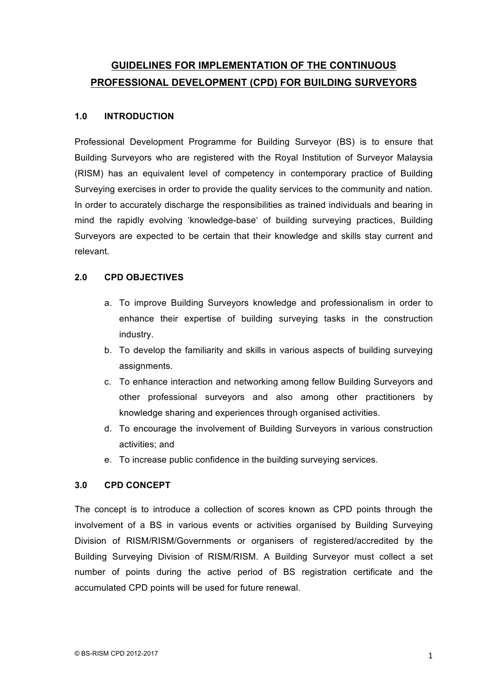# **GUIDELINES FOR IMPLEMENTATION OF THE CONTINUOUS PROFESSIONAL DEVELOPMENT (CPD) FOR BUILDING SURVEYORS**

## **1.0 INTRODUCTION**

Professional Development Programme for Building Surveyor (BS) is to ensure that Building Surveyors who are registered with the Royal Institution of Surveyor Malaysia (RISM) has an equivalent level of competency in contemporary practice of Building Surveying exercises in order to provide the quality services to the community and nation. In order to accurately discharge the responsibilities as trained individuals and bearing in mind the rapidly evolving 'knowledge-base' of building surveying practices, Building Surveyors are expected to be certain that their knowledge and skills stay current and relevant.

## **2.0 CPD OBJECTIVES**

- a. To improve Building Surveyors knowledge and professionalism in order to enhance their expertise of building surveying tasks in the construction industry.
- b. To develop the familiarity and skills in various aspects of building surveying assignments.
- c. To enhance interaction and networking among fellow Building Surveyors and other professional surveyors and also among other practitioners by knowledge sharing and experiences through organised activities.
- d. To encourage the involvement of Building Surveyors in various construction activities; and
- e. To increase public confidence in the building surveying services.

# **3.0 CPD CONCEPT**

The concept is to introduce a collection of scores known as CPD points through the involvement of a BS in various events or activities organised by Building Surveying Division of RISM/RISM/Governments or organisers of registered/accredited by the Building Surveying Division of RISM/RISM. A Building Surveyor must collect a set number of points during the active period of BS registration certificate and the accumulated CPD points will be used for future renewal.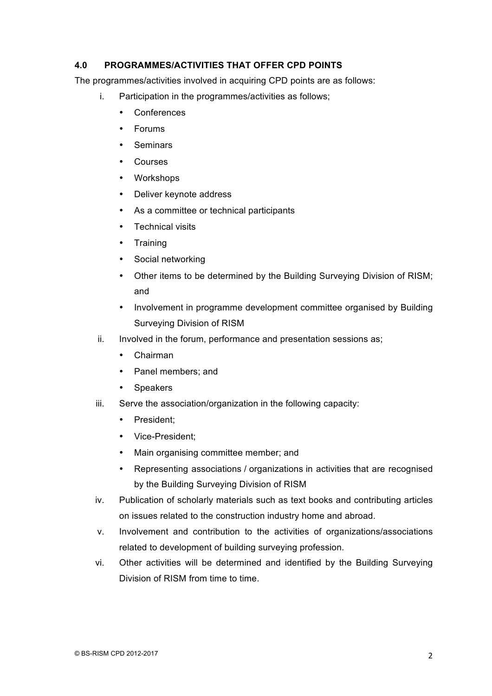## **4.0 PROGRAMMES/ACTIVITIES THAT OFFER CPD POINTS**

The programmes/activities involved in acquiring CPD points are as follows:

- i. Participation in the programmes/activities as follows;
	- Conferences
	- Forums
	- Seminars
	- Courses
	- Workshops
	- Deliver keynote address
	- As a committee or technical participants
	- Technical visits
	- Training
	- Social networking
	- Other items to be determined by the Building Surveying Division of RISM; and
	- Involvement in programme development committee organised by Building Surveying Division of RISM
- ii. Involved in the forum, performance and presentation sessions as;
	- Chairman
	- Panel members; and
	- Speakers
- iii. Serve the association/organization in the following capacity:
	- President;
	- Vice-President;
	- Main organising committee member; and
	- Representing associations / organizations in activities that are recognised by the Building Surveying Division of RISM
- iv. Publication of scholarly materials such as text books and contributing articles on issues related to the construction industry home and abroad.
- v. Involvement and contribution to the activities of organizations/associations related to development of building surveying profession.
- vi. Other activities will be determined and identified by the Building Surveying Division of RISM from time to time.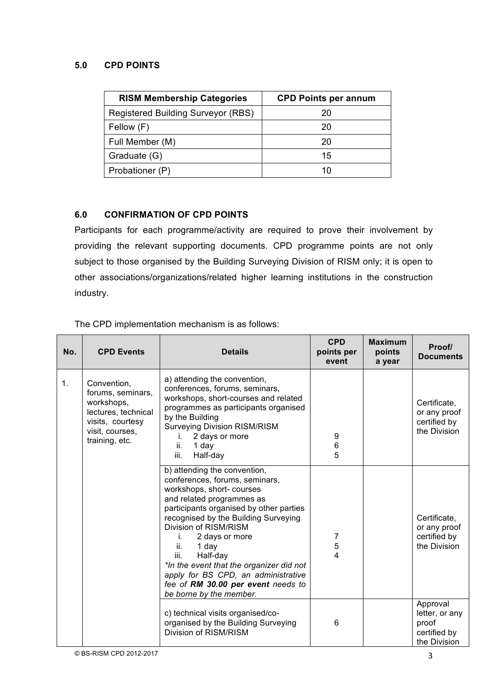## **5.0 CPD POINTS**

| <b>RISM Membership Categories</b>  | <b>CPD Points per annum</b> |
|------------------------------------|-----------------------------|
| Registered Building Surveyor (RBS) | 20                          |
| Fellow (F)                         | 20                          |
| Full Member (M)                    | 20                          |
| Graduate (G)                       | 15                          |
| Probationer (P)                    | 10                          |

# **6.0 CONFIRMATION OF CPD POINTS**

Participants for each programme/activity are required to prove their involvement by providing the relevant supporting documents. CPD programme points are not only subject to those organised by the Building Surveying Division of RISM only; it is open to other associations/organizations/related higher learning institutions in the construction industry.

|  |  | The CPD implementation mechanism is as follows: |  |  |
|--|--|-------------------------------------------------|--|--|
|  |  |                                                 |  |  |

| No. | <b>CPD Events</b>                                                                                                              | <b>Details</b>                                                                                                                                                                                                                                                                                                                                                                                                                                       | <b>CPD</b><br>points per<br>event | <b>Maximum</b><br>points<br>a year | Proof/<br><b>Documents</b>                                          |
|-----|--------------------------------------------------------------------------------------------------------------------------------|------------------------------------------------------------------------------------------------------------------------------------------------------------------------------------------------------------------------------------------------------------------------------------------------------------------------------------------------------------------------------------------------------------------------------------------------------|-----------------------------------|------------------------------------|---------------------------------------------------------------------|
| 1.  | Convention,<br>forums, seminars,<br>workshops,<br>lectures, technical<br>visits, courtesy<br>visit, courses,<br>training, etc. | a) attending the convention,<br>conferences, forums, seminars,<br>workshops, short-courses and related<br>programmes as participants organised<br>by the Building<br><b>Surveying Division RISM/RISM</b><br>2 days or more<br>i.<br>ii.<br>1 day<br>iii.<br>Half-day                                                                                                                                                                                 | 9<br>6<br>5                       |                                    | Certificate,<br>or any proof<br>certified by<br>the Division        |
|     |                                                                                                                                | b) attending the convention,<br>conferences, forums, seminars,<br>workshops, short- courses<br>and related programmes as<br>participants organised by other parties<br>recognised by the Building Surveying<br>Division of RISM/RISM<br>2 days or more<br>Ĺ.<br>ii.<br>1 day<br>Half-day<br>iii.<br>*In the event that the organizer did not<br>apply for BS CPD, an administrative<br>fee of RM 30.00 per event needs to<br>be borne by the member. | 7<br>5<br>4                       |                                    | Certificate,<br>or any proof<br>certified by<br>the Division        |
|     |                                                                                                                                | c) technical visits organised/co-<br>organised by the Building Surveying<br>Division of RISM/RISM                                                                                                                                                                                                                                                                                                                                                    | 6                                 |                                    | Approval<br>letter, or any<br>proof<br>certified by<br>the Division |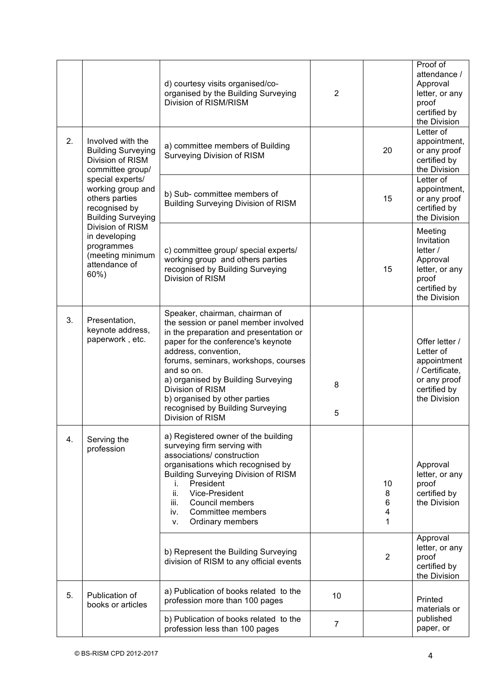|                                                                                                                                                                                                                                                                                                          |                                                                                                                                  | d) courtesy visits organised/co-<br>organised by the Building Surveying<br>Division of RISM/RISM                                                                                                                                                                                                                                                                                        | $\overline{2}$ |                                                                                                            | Proof of<br>attendance /<br>Approval<br>letter, or any<br>proof<br>certified by<br>the Division              |
|----------------------------------------------------------------------------------------------------------------------------------------------------------------------------------------------------------------------------------------------------------------------------------------------------------|----------------------------------------------------------------------------------------------------------------------------------|-----------------------------------------------------------------------------------------------------------------------------------------------------------------------------------------------------------------------------------------------------------------------------------------------------------------------------------------------------------------------------------------|----------------|------------------------------------------------------------------------------------------------------------|--------------------------------------------------------------------------------------------------------------|
| 2.<br>Involved with the<br><b>Building Surveying</b><br>Division of RISM<br>committee group/<br>special experts/<br>working group and<br>others parties<br>recognised by<br><b>Building Surveying</b><br>Division of RISM<br>in developing<br>programmes<br>(meeting minimum<br>attendance of<br>$60%$ ) |                                                                                                                                  | a) committee members of Building<br>Surveying Division of RISM                                                                                                                                                                                                                                                                                                                          |                | 20                                                                                                         | Letter of<br>appointment,<br>or any proof<br>certified by<br>the Division                                    |
|                                                                                                                                                                                                                                                                                                          |                                                                                                                                  | b) Sub- committee members of<br><b>Building Surveying Division of RISM</b>                                                                                                                                                                                                                                                                                                              |                | 15                                                                                                         | Letter of<br>appointment,<br>or any proof<br>certified by<br>the Division                                    |
|                                                                                                                                                                                                                                                                                                          | c) committee group/ special experts/<br>working group and others parties<br>recognised by Building Surveying<br>Division of RISM |                                                                                                                                                                                                                                                                                                                                                                                         | 15             | Meeting<br>Invitation<br>letter $/$<br>Approval<br>letter, or any<br>proof<br>certified by<br>the Division |                                                                                                              |
| 3.                                                                                                                                                                                                                                                                                                       | Presentation,<br>keynote address,<br>paperwork, etc.                                                                             | Speaker, chairman, chairman of<br>the session or panel member involved<br>in the preparation and presentation or<br>paper for the conference's keynote<br>address, convention,<br>forums, seminars, workshops, courses<br>and so on.<br>a) organised by Building Surveying<br>Division of RISM<br>b) organised by other parties<br>recognised by Building Surveying<br>Division of RISM | 8<br>5         |                                                                                                            | Offer letter /<br>Letter of<br>appointment<br>/ Certificate,<br>or any proof<br>certified by<br>the Division |
| 4.                                                                                                                                                                                                                                                                                                       | Serving the<br>profession                                                                                                        | a) Registered owner of the building<br>surveying firm serving with<br>associations/construction<br>organisations which recognised by<br><b>Building Surveying Division of RISM</b><br>President<br>i.<br>ii.<br>Vice-President<br>Council members<br>iii.<br>Committee members<br>iv.<br>Ordinary members<br>۷.                                                                         |                | 10<br>8<br>6<br>4<br>1                                                                                     | Approval<br>letter, or any<br>proof<br>certified by<br>the Division                                          |
|                                                                                                                                                                                                                                                                                                          |                                                                                                                                  | b) Represent the Building Surveying<br>division of RISM to any official events                                                                                                                                                                                                                                                                                                          |                | 2                                                                                                          | Approval<br>letter, or any<br>proof<br>certified by<br>the Division                                          |
| 5.                                                                                                                                                                                                                                                                                                       | Publication of<br>books or articles                                                                                              | a) Publication of books related to the<br>profession more than 100 pages                                                                                                                                                                                                                                                                                                                | 10             |                                                                                                            | Printed<br>materials or                                                                                      |
|                                                                                                                                                                                                                                                                                                          |                                                                                                                                  | b) Publication of books related to the<br>profession less than 100 pages                                                                                                                                                                                                                                                                                                                | $\overline{7}$ |                                                                                                            | published<br>paper, or                                                                                       |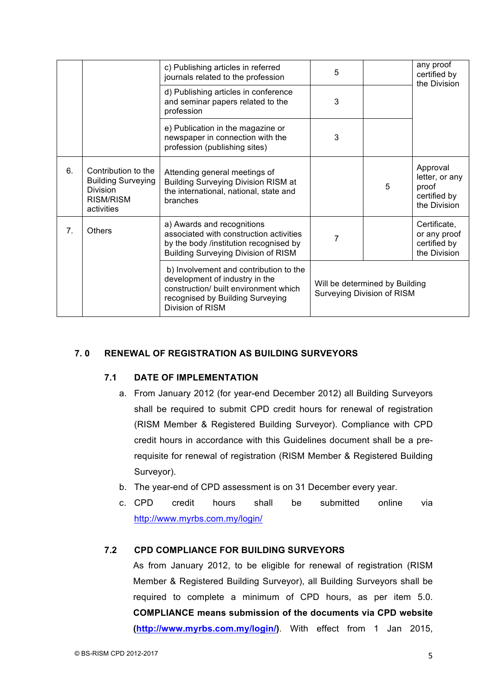|    |                                                                                                | c) Publishing articles in referred<br>journals related to the profession                                                                                                  | 5                                                            |   | any proof<br>certified by<br>the Division                           |
|----|------------------------------------------------------------------------------------------------|---------------------------------------------------------------------------------------------------------------------------------------------------------------------------|--------------------------------------------------------------|---|---------------------------------------------------------------------|
|    |                                                                                                | d) Publishing articles in conference<br>and seminar papers related to the<br>profession                                                                                   | 3                                                            |   |                                                                     |
|    |                                                                                                | e) Publication in the magazine or<br>newspaper in connection with the<br>profession (publishing sites)                                                                    | 3                                                            |   |                                                                     |
| 6. | Contribution to the<br><b>Building Surveying</b><br><b>Division</b><br>RISM/RISM<br>activities | Attending general meetings of<br><b>Building Surveying Division RISM at</b><br>the international, national, state and<br>branches                                         |                                                              | 5 | Approval<br>letter, or any<br>proof<br>certified by<br>the Division |
| 7. | <b>Others</b>                                                                                  | a) Awards and recognitions<br>associated with construction activities<br>by the body /institution recognised by<br><b>Building Surveying Division of RISM</b>             | 7                                                            |   | Certificate,<br>or any proof<br>certified by<br>the Division        |
|    |                                                                                                | b) Involvement and contribution to the<br>development of industry in the<br>construction/ built environment which<br>recognised by Building Surveying<br>Division of RISM | Will be determined by Building<br>Surveying Division of RISM |   |                                                                     |

## **7. 0 RENEWAL OF REGISTRATION AS BUILDING SURVEYORS**

#### **7.1 DATE OF IMPLEMENTATION**

- a. From January 2012 (for year-end December 2012) all Building Surveyors shall be required to submit CPD credit hours for renewal of registration (RISM Member & Registered Building Surveyor). Compliance with CPD credit hours in accordance with this Guidelines document shall be a prerequisite for renewal of registration (RISM Member & Registered Building Surveyor).
- b. The year-end of CPD assessment is on 31 December every year.
- c. CPD credit hours shall be submitted online via http://www.myrbs.com.my/login/

#### **7.2 CPD COMPLIANCE FOR BUILDING SURVEYORS**

As from January 2012, to be eligible for renewal of registration (RISM Member & Registered Building Surveyor), all Building Surveyors shall be required to complete a minimum of CPD hours, as per item 5.0. **COMPLIANCE means submission of the documents via CPD website (http://www.myrbs.com.my/login/)**. With effect from 1 Jan 2015,